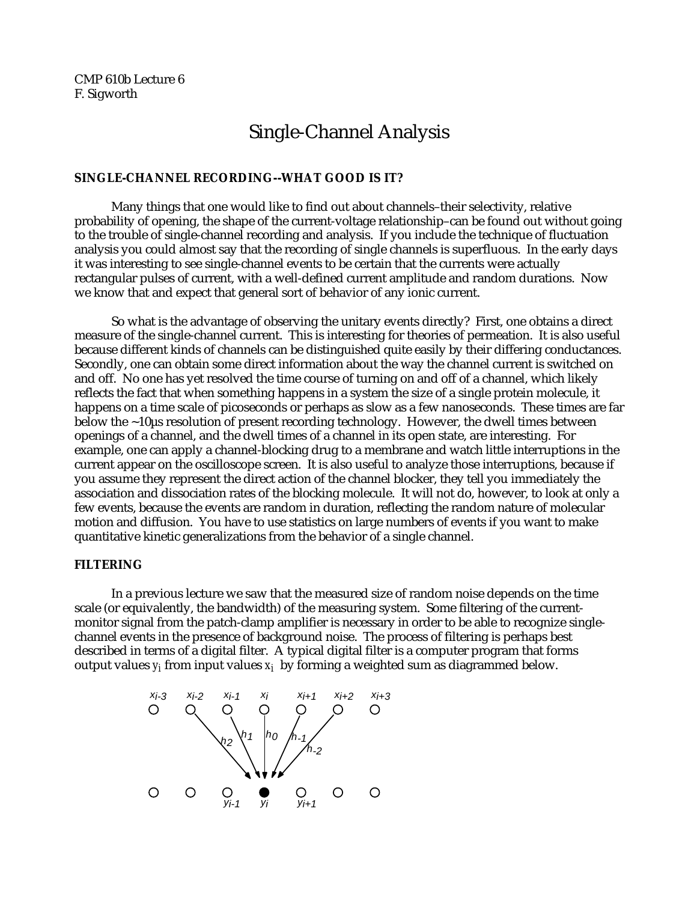CMP 610b Lecture 6 F. Sigworth

# Single-Channel Analysis

## **SINGLE-CHANNEL RECORDING--WHAT GOOD IS IT?**

Many things that one would like to find out about channels–their selectivity, relative probability of opening, the shape of the current-voltage relationship–can be found out without going to the trouble of single-channel recording and analysis. If you include the technique of fluctuation analysis you could almost say that the recording of single channels is superfluous. In the early days it was interesting to see single-channel events to be certain that the currents were actually rectangular pulses of current, with a well-defined current amplitude and random durations. Now we know that and expect that general sort of behavior of any ionic current.

So what is the advantage of observing the unitary events directly? First, one obtains a direct measure of the single-channel current. This is interesting for theories of permeation. It is also useful because different kinds of channels can be distinguished quite easily by their differing conductances. Secondly, one can obtain some direct information about the way the channel current is switched on and off. No one has yet resolved the time course of turning on and off of a channel, which likely reflects the fact that when something happens in a system the size of a single protein molecule, it happens on a time scale of picoseconds or perhaps as slow as a few nanoseconds. These times are far below the ~10µs resolution of present recording technology. However, the dwell times between openings of a channel, and the dwell times of a channel in its open state, are interesting. For example, one can apply a channel-blocking drug to a membrane and watch little interruptions in the current appear on the oscilloscope screen. It is also useful to analyze those interruptions, because if you assume they represent the direct action of the channel blocker, they tell you immediately the association and dissociation rates of the blocking molecule. It will not do, however, to look at only a few events, because the events are random in duration, reflecting the random nature of molecular motion and diffusion. You have to use statistics on large numbers of events if you want to make quantitative kinetic generalizations from the behavior of a single channel.

## **FILTERING**

In a previous lecture we saw that the measured size of random noise depends on the time scale (or equivalently, the bandwidth) of the measuring system. Some filtering of the currentmonitor signal from the patch-clamp amplifier is necessary in order to be able to recognize singlechannel events in the presence of background noise. The process of filtering is perhaps best described in terms of a digital filter. A typical digital filter is a computer program that forms output values *yi* from input values *xi* by forming a weighted sum as diagrammed below.

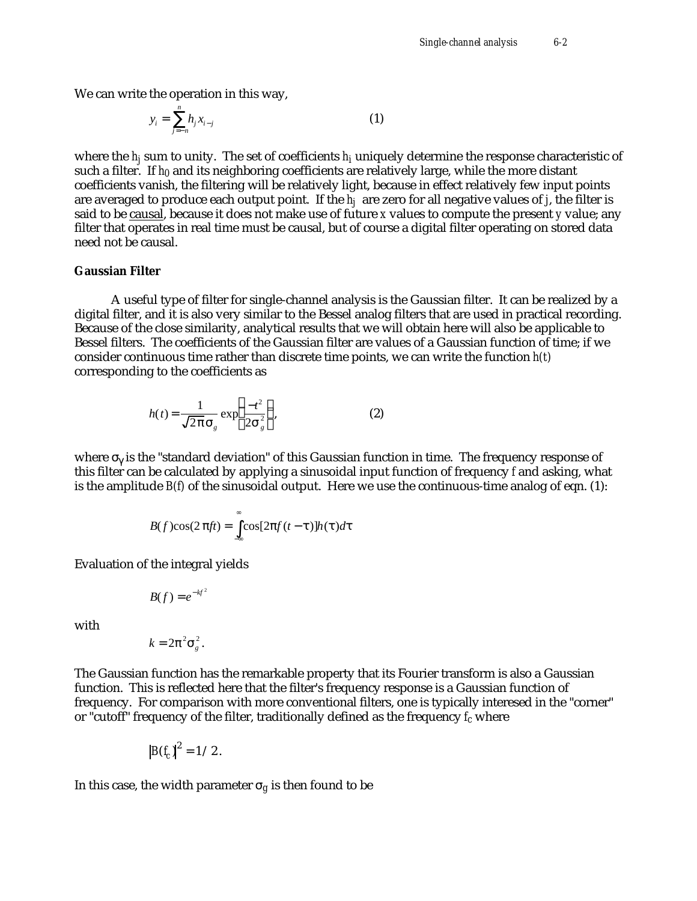We can write the operation in this way,

$$
y_i = \sum_{j=-n}^{n} h_j x_{i-j} \tag{1}
$$

where the  $h_j$  sum to unity. The set of coefficients  $h_i$  uniquely determine the response characteristic of such a filter. If *h0* and its neighboring coefficients are relatively large, while the more distant coefficients vanish, the filtering will be relatively light, because in effect relatively few input points are averaged to produce each output point. If the *hj* are zero for all negative values of *j*, the filter is said to be causal, because it does not make use of future *x* values to compute the present *y* value; any filter that operates in real time must be causal, but of course a digital filter operating on stored data need not be causal.

#### **Gaussian Filter**

A useful type of filter for single-channel analysis is the Gaussian filter. It can be realized by a digital filter, and it is also very similar to the Bessel analog filters that are used in practical recording. Because of the close similarity, analytical results that we will obtain here will also be applicable to Bessel filters. The coefficients of the Gaussian filter are values of a Gaussian function of time; if we consider continuous time rather than discrete time points, we can write the function *h(t)* corresponding to the coefficients as

$$
h(t) = \frac{1}{\sqrt{2}} \exp \frac{-t^2}{2 \frac{2}{s}} \tag{2}
$$

where is the "standard deviation" of this Gaussian function in time. The frequency response of this filter can be calculated by applying a sinusoidal input function of frequency *f* and asking, what is the amplitude *B(f)* of the sinusoidal output. Here we use the continuous-time analog of eqn. (1):

$$
B(f)\cos(2 ft) = \cos[2 f(t-1)h(1)dt]
$$

−∞

Evaluation of the integral yields

$$
B(f)=e^{-kf^2}
$$

with

$$
k=2^{-2}\frac{2}{s}
$$

.

The Gaussian function has the remarkable property that its Fourier transform is also a Gaussian function. This is reflected here that the filter's frequency response is a Gaussian function of frequency. For comparison with more conventional filters, one is typically interesed in the "corner" or "cutoff" frequency of the filter, traditionally defined as the frequency *fc* where

$$
\big|B(f_c)\big|^2=1/2.
$$

In this case, the width parameter  $g$  is then found to be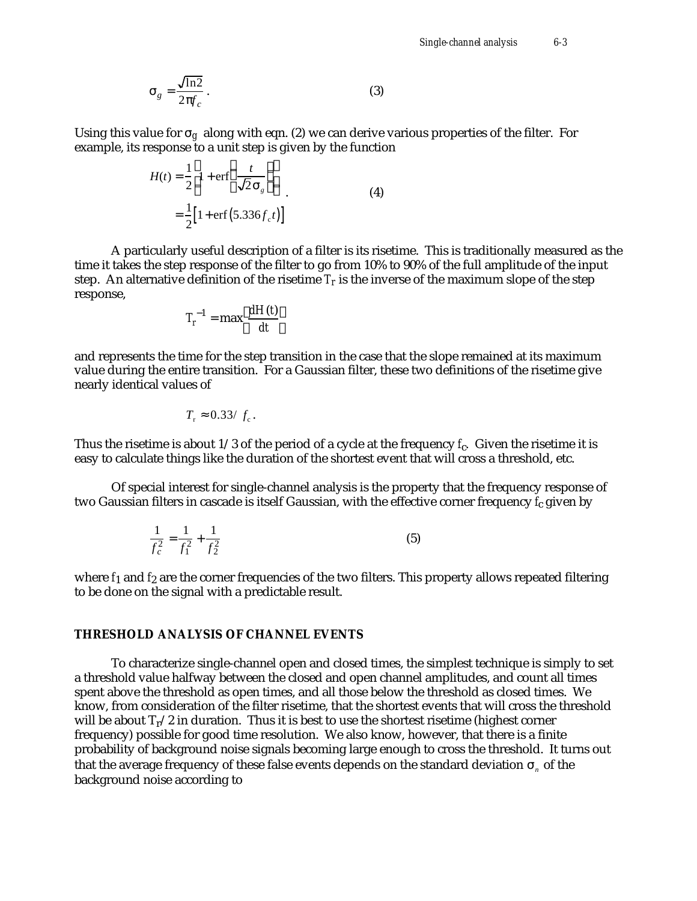$$
g = \frac{\sqrt{\ln 2}}{2 f_c}.
$$
 (3)

Using this value for *g* along with eqn. (2) we can derive various properties of the filter. For example, its response to a unit step is given by the function

$$
H(t) = \frac{1}{2} 1 + \text{erf} \frac{t}{\sqrt{2}} \tag{4}
$$
  
=  $\frac{1}{2} [1 + \text{erf} (5.336 f_c t)]$ 

A particularly useful description of a filter is its risetime. This is traditionally measured as the time it takes the step response of the filter to go from 10% to 90% of the full amplitude of the input step. An alternative definition of the risetime  $T_r$  is the inverse of the maximum slope of the step response,

$$
T_r^{-1} = \max \frac{dH(t)}{dt}
$$

and represents the time for the step transition in the case that the slope remained at its maximum value during the entire transition. For a Gaussian filter, these two definitions of the risetime give nearly identical values of

$$
T_{\rm r} = 0.33 / f_{\rm c}.
$$

Thus the risetime is about  $1/3$  of the period of a cycle at the frequency  $f_c$ . Given the risetime it is easy to calculate things like the duration of the shortest event that will cross a threshold, etc.

Of special interest for single-channel analysis is the property that the frequency response of two Gaussian filters in cascade is itself Gaussian, with the effective corner frequency *f*c given by

$$
\frac{1}{f_c^2} = \frac{1}{f_1^2} + \frac{1}{f_2^2}
$$
 (5)

where  $f_1$  and  $f_2$  are the corner frequencies of the two filters. This property allows repeated filtering to be done on the signal with a predictable result.

#### **THRESHOLD ANALYSIS OF CHANNEL EVENTS**

To characterize single-channel open and closed times, the simplest technique is simply to set a threshold value halfway between the closed and open channel amplitudes, and count all times spent above the threshold as open times, and all those below the threshold as closed times. We know, from consideration of the filter risetime, that the shortest events that will cross the threshold will be about  $T_r/2$  in duration. Thus it is best to use the shortest risetime (highest corner frequency) possible for good time resolution. We also know, however, that there is a finite probability of background noise signals becoming large enough to cross the threshold. It turns out that the average frequency of these false events depends on the standard deviation  $\quad$  <sub>n</sub> of the background noise according to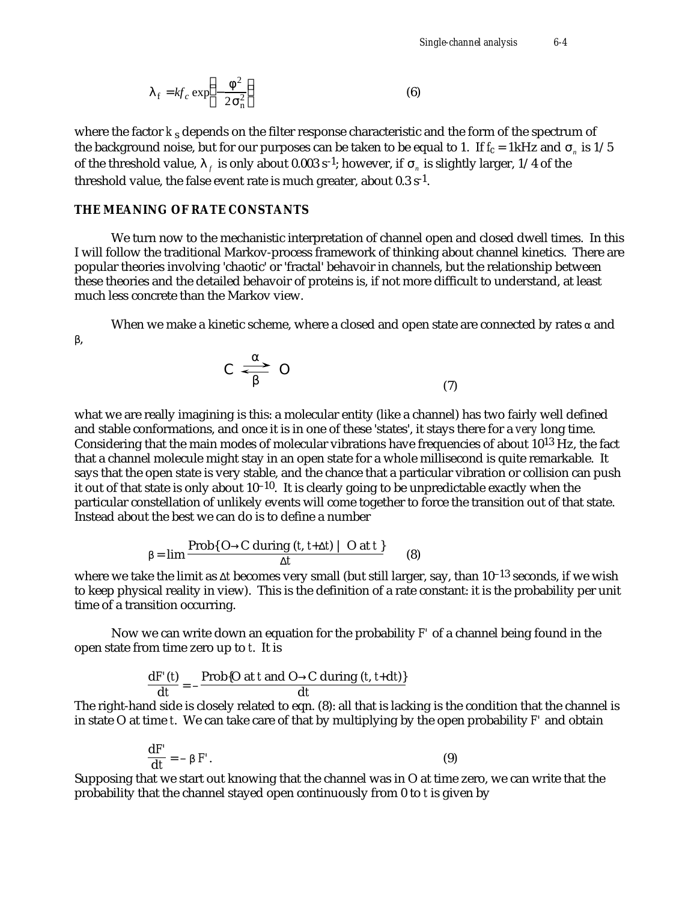$$
f = kf_c \exp \left(-\frac{2}{2\pi}\right)
$$
 (6)

where the factor *k*<sub>s</sub> depends on the filter response characteristic and the form of the spectrum of the background noise, but for our purposes can be taken to be equal to 1. If *fc* = 1kHz and *<sup>n</sup>* is 1/5 of the threshold value,  $\frac{1}{f}$  is only about 0.003 s<sup>-1</sup>; however, if  $\frac{1}{n}$  is slightly larger, 1/4 of the threshold value, the false event rate is much greater, about  $0.3 s<sup>-1</sup>$ .

### **THE MEANING OF RATE CONSTANTS**

,

We turn now to the mechanistic interpretation of channel open and closed dwell times. In this I will follow the traditional Markov-process framework of thinking about channel kinetics. There are popular theories involving 'chaotic' or 'fractal' behavoir in channels, but the relationship between these theories and the detailed behavoir of proteins is, if not more difficult to understand, at least much less concrete than the Markov view.

When we make a kinetic scheme, where a closed and open state are connected by rates and



what we are really imagining is this: a molecular entity (like a channel) has two fairly well defined and stable conformations, and once it is in one of these 'states', it stays there for a *very* long time. Considering that the main modes of molecular vibrations have frequencies of about 1013 Hz, the fact that a channel molecule might stay in an open state for a whole millisecond is quite remarkable. It says that the open state is very stable, and the chance that a particular vibration or collision can push it out of that state is only about  $10^{-10}$ . It is clearly going to be unpredictable exactly when the particular constellation of unlikely events will come together to force the transition out of that state. Instead about the best we can do is to define a number

$$
= \lim \frac{\text{Prob}\{O \quad C \text{ during } (t, t+ t) \mid O \text{ at } t\}}{t}
$$
 (8)

where we take the limit as *t* becomes very small (but still larger, say, than 10–13 seconds, if we wish to keep physical reality in view). This is the definition of a rate constant: it is the probability per unit time of a transition occurring.

Now we can write down an equation for the probability *F'* of a channel being found in the open state from time zero up to *t*. It is

$$
\frac{dF'(t)}{dt} = -\frac{Prob{O at t and O \ C during (t, t+dt)}}{dt}
$$

The right-hand side is closely related to eqn. (8): all that is lacking is the condition that the channel is in state O at time *t*. We can take care of that by multiplying by the open probability *F'* and obtain

$$
\frac{\mathbf{d}F'}{\mathbf{d}t} = - \quad F'.
$$
\n(9)

Supposing that we start out knowing that the channel was in O at time zero, we can write that the probability that the channel stayed open continuously from 0 to *t* is given by